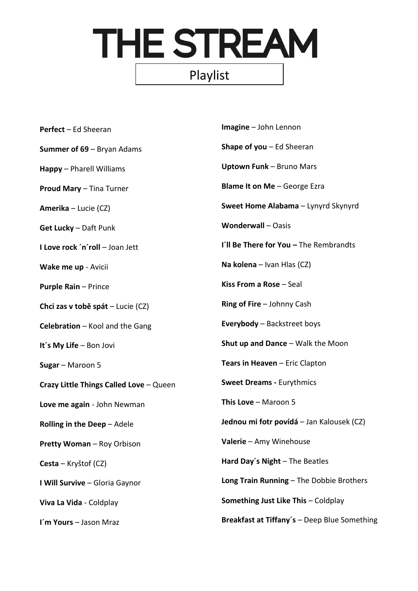## THE STREAM Playlist

| <b>Perfect</b> - Ed Sheeran             | Imagine - John Lennon                        |
|-----------------------------------------|----------------------------------------------|
| <b>Summer of 69 - Bryan Adams</b>       | <b>Shape of you</b> $-$ Ed Sheeran           |
| Happy - Pharell Williams                | <b>Uptown Funk - Bruno Mars</b>              |
| Proud Mary - Tina Turner                | <b>Blame It on Me - George Ezra</b>          |
| Amerika - Lucie (CZ)                    | Sweet Home Alabama - Lynyrd Skynyrd          |
| <b>Get Lucky</b> - Daft Punk            | <b>Wonderwall-Oasis</b>                      |
| I Love rock 'n'roll - Joan Jett         | I'll Be There for You - The Rembrandts       |
| Wake me up - Avicii                     | Na kolena – Ivan Hlas (CZ)                   |
| <b>Purple Rain - Prince</b>             | Kiss From a Rose - Seal                      |
| Chci zas v tobě spát – Lucie (CZ)       | Ring of Fire - Johnny Cash                   |
| Celebration - Kool and the Gang         | <b>Everybody</b> - Backstreet boys           |
| It's My Life - Bon Jovi                 | <b>Shut up and Dance - Walk the Moon</b>     |
| Sugar - Maroon 5                        | Tears in Heaven - Eric Clapton               |
| Crazy Little Things Called Love - Queen | <b>Sweet Dreams - Eurythmics</b>             |
| Love me again - John Newman             | This Love $-$ Maroon 5                       |
| Rolling in the Deep - Adele             | Jednou mi fotr povídá – Jan Kalousek (CZ)    |
| Pretty Woman - Roy Orbison              | Valerie - Amy Winehouse                      |
| Cesta – Kryštof (CZ)                    | Hard Day's Night - The Beatles               |
| I Will Survive - Gloria Gaynor          | Long Train Running - The Dobbie Brothers     |
| Viva La Vida - Coldplay                 | Something Just Like This - Coldplay          |
| I'm Yours - Jason Mraz                  | Breakfast at Tiffany's - Deep Blue Something |